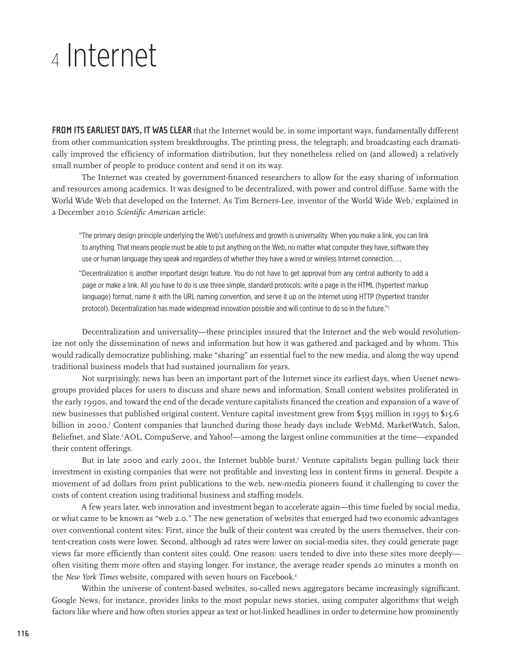# <sup>4</sup> Internet

**FROM ITS EARLIEST DAYS, IT WAS CLEAR** that the Internet would be, in some important ways, fundamentally different from other communication system breakthroughs. The printing press, the telegraph, and broadcasting each dramatically improved the efficiency of information distribution, but they nonetheless relied on (and allowed) a relatively small number of people to produce content and send it on its way.

The Internet was created by government-financed researchers to allow for the easy sharing of information and resources among academics. It was designed to be decentralized, with power and control diffuse. Same with the World Wide Web that developed on the Internet. As Tim Berners-Lee, inventor of the World Wide Web,' explained in a December 2010 *Scientific American* article:

"The primary design principle underlying the Web's usefulness and growth is universality. When you make a link, you can link to anything. That means people must be able to put anything on the Web, no matter what computer they have, software they use or human language they speak and regardless of whether they have a wired or wireless Internet connection. . . .

"Decentralization is another important design feature. You do not have to get approval from any central authority to add a page or make a link. All you have to do is use three simple, standard protocols: write a page in the HTML (hypertext markup language) format, name it with the URL naming convention, and serve it up on the Internet using HTTP (hypertext transfer protocol). Decentralization has made widespread innovation possible and will continue to do so in the future."2

Decentralization and universality—these principles insured that the Internet and the web would revolutionize not only the dissemination of news and information but how it was gathered and packaged and by whom. This would radically democratize publishing, make "sharing" an essential fuel to the new media, and along the way upend traditional business models that had sustained journalism for years.

Not surprisingly, news has been an important part of the Internet since its earliest days, when Usenet newsgroups provided places for users to discuss and share news and information. Small content websites proliferated in the early 1990s, and toward the end of the decade venture capitalists financed the creation and expansion of a wave of new businesses that published original content. Venture capital investment grew from \$595 million in 1995 to \$15.6 billion in 2000.<sup>3</sup> Content companies that launched during those heady days include WebMd, MarketWatch, Salon, Beliefnet, and Slate.4 AOL, CompuServe, and Yahoo!—among the largest online communities at the time—expanded their content offerings.

But in late 2000 and early 2001, the Internet bubble burst.<sup>5</sup> Venture capitalists began pulling back their investment in existing companies that were not profitable and investing less in content firms in general. Despite a movement of ad dollars from print publications to the web, new-media pioneers found it challenging to cover the costs of content creation using traditional business and staffing models.

A few years later, web innovation and investment began to accelerate again—this time fueled by social media, or what came to be known as "web 2.0." The new generation of websites that emerged had two economic advantages over conventional content sites: First, since the bulk of their content was created by the users themselves, their content-creation costs were lower. Second, although ad rates were lower on social-media sites, they could generate page views far more efficiently than content sites could. One reason: users tended to dive into these sites more deeply often visiting them more often and staying longer. For instance, the average reader spends 20 minutes a month on the *New York Times* website, compared with seven hours on Facebook.<sup>6</sup>

Within the universe of content-based websites, so-called news aggregators became increasingly significant. Google News, for instance, provides links to the most popular news stories, using computer algorithms that weigh factors like where and how often stories appear as text or hot-linked headlines in order to determine how prominently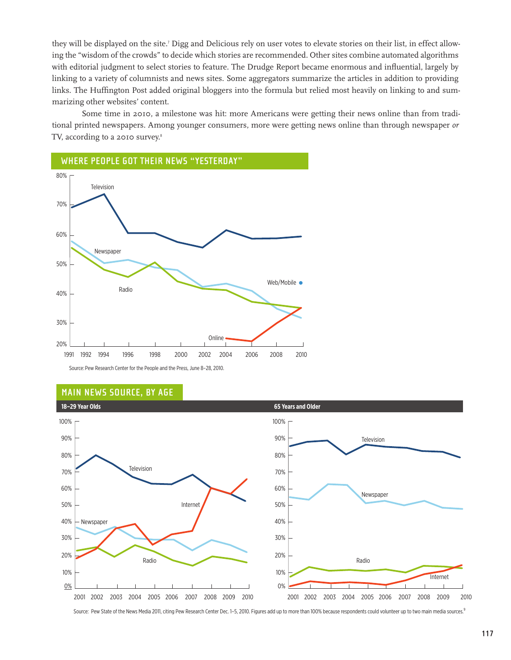they will be displayed on the site.' Digg and Delicious rely on user votes to elevate stories on their list, in effect allowing the "wisdom of the crowds" to decide which stories are recommended. Other sites combine automated algorithms with editorial judgment to select stories to feature. The Drudge Report became enormous and influential, largely by linking to a variety of columnists and news sites. Some aggregators summarize the articles in addition to providing links. The Huffington Post added original bloggers into the formula but relied most heavily on linking to and summarizing other websites' content.

Some time in 2010, a milestone was hit: more Americans were getting their news online than from traditional printed newspapers. Among younger consumers, more were getting news online than through newspaper *or*  TV, according to a 2010 survey.<sup>8</sup>



Source: Pew Research Center for the People and the Press, June 8–28, 2010.

#### **Main News source, by age**



Source: Pew State of the News Media 2011, citing Pew Research Center Dec. 1-5, 2010. Figures add up to more than 100% because respondents could volunteer up to two main media sources.<sup>9</sup>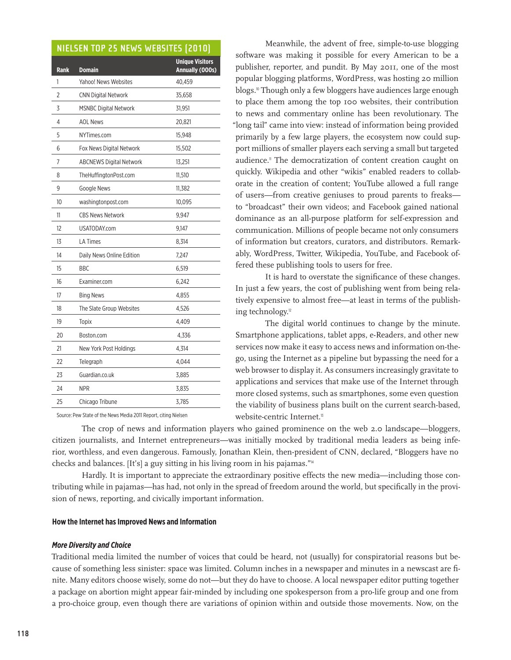# **Nielsen Top 25 News Websites (2010)**

| <b>Rank</b>    | <b>Domain</b>                  | <b>Unique Visitors</b><br>Annually (000s) |
|----------------|--------------------------------|-------------------------------------------|
| 1              | Yahoo! News Websites           | 40,459                                    |
| $\overline{2}$ | <b>CNN Digital Network</b>     | 35,658                                    |
| 3              | <b>MSNBC Digital Network</b>   | 31,951                                    |
| 4              | <b>AOL News</b>                | 20,821                                    |
| 5              | NYTimes.com                    | 15,948                                    |
| 6              | Fox News Digital Network       | 15,502                                    |
| 7              | <b>ABCNEWS Digital Network</b> | 13,251                                    |
| 8              | TheHuffingtonPost.com          | 11,510                                    |
| 9              | Google News                    | 11,382                                    |
| 10             | washingtonpost.com             | 10,095                                    |
| 11             | <b>CBS News Network</b>        | 9,947                                     |
| 12             | USATODAY.com                   | 9,147                                     |
| 13             | <b>LA Times</b>                | 8,314                                     |
| 14             | Daily News Online Edition      | 7,247                                     |
| 15             | <b>BBC</b>                     | 6,519                                     |
| 16             | Examiner.com                   | 6,242                                     |
| 17             | <b>Bing News</b>               | 4,855                                     |
| 18             | The Slate Group Websites       | 4,526                                     |
| 19             | <b>Topix</b>                   | 4,409                                     |
| 20             | Boston.com                     | 4,336                                     |
| 21             | New York Post Holdings         | 4,314                                     |
| 22             | Telegraph                      | 4,044                                     |
| 23             | Guardian.co.uk                 | 3,885                                     |
| 24             | <b>NPR</b>                     | 3,835                                     |
| 25             | Chicago Tribune                | 3,785                                     |

Source: Pew State of the News Media 2011 Report, citing Nielsen

Meanwhile, the advent of free, simple-to-use blogging software was making it possible for every American to be a publisher, reporter, and pundit. By May 2011, one of the most popular blogging platforms, WordPress, was hosting 20 million blogs.<sup>10</sup> Though only a few bloggers have audiences large enough to place them among the top 100 websites, their contribution to news and commentary online has been revolutionary. The "long tail" came into view: instead of information being provided primarily by a few large players, the ecosystem now could support millions of smaller players each serving a small but targeted audience.<sup>1</sup> The democratization of content creation caught on quickly. Wikipedia and other "wikis" enabled readers to collaborate in the creation of content; YouTube allowed a full range of users—from creative geniuses to proud parents to freaks to "broadcast" their own videos; and Facebook gained national dominance as an all-purpose platform for self-expression and communication. Millions of people became not only consumers of information but creators, curators, and distributors. Remarkably, WordPress, Twitter, Wikipedia, YouTube, and Facebook offered these publishing tools to users for free.

It is hard to overstate the significance of these changes. In just a few years, the cost of publishing went from being relatively expensive to almost free—at least in terms of the publishing technology.<sup>12</sup>

The digital world continues to change by the minute. Smartphone applications, tablet apps, e-Readers, and other new services now make it easy to access news and information on-thego, using the Internet as a pipeline but bypassing the need for a web browser to display it. As consumers increasingly gravitate to applications and services that make use of the Internet through more closed systems, such as smartphones, some even question the viability of business plans built on the current search-based, website-centric Internet.<sup>13</sup>

The crop of news and information players who gained prominence on the web 2.0 landscape—bloggers, citizen journalists, and Internet entrepreneurs—was initially mocked by traditional media leaders as being inferior, worthless, and even dangerous. Famously, Jonathan Klein, then-president of CNN, declared, "Bloggers have no checks and balances. [It's] a guy sitting in his living room in his pajamas."<sup>14</sup>

Hardly. It is important to appreciate the extraordinary positive effects the new media—including those contributing while in pajamas—has had, not only in the spread of freedom around the world, but specifically in the provision of news, reporting, and civically important information.

# **How the Internet has Improved News and Information**

#### *More Diversity and Choice*

Traditional media limited the number of voices that could be heard, not (usually) for conspiratorial reasons but because of something less sinister: space was limited. Column inches in a newspaper and minutes in a newscast are finite. Many editors choose wisely, some do not—but they do have to choose. A local newspaper editor putting together a package on abortion might appear fair-minded by including one spokesperson from a pro-life group and one from a pro-choice group, even though there are variations of opinion within and outside those movements. Now, on the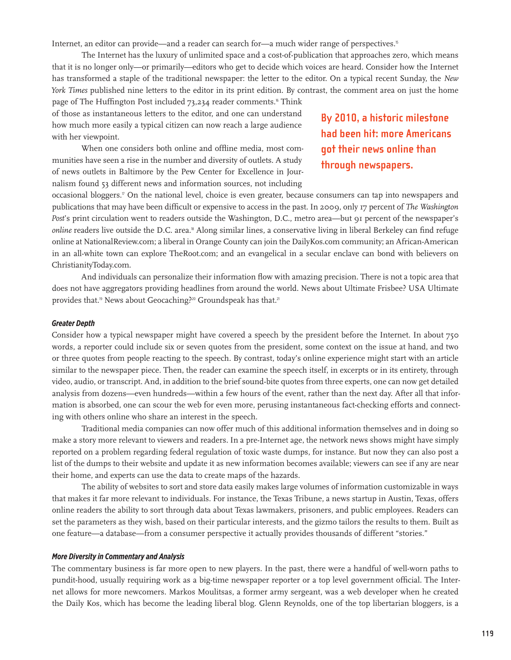Internet, an editor can provide—and a reader can search for—a much wider range of perspectives.<sup>15</sup>

The Internet has the luxury of unlimited space and a cost-of-publication that approaches zero, which means that it is no longer only—or primarily—editors who get to decide which voices are heard. Consider how the Internet has transformed a staple of the traditional newspaper: the letter to the editor. On a typical recent Sunday, the *New York Times* published nine letters to the editor in its print edition. By contrast, the comment area on just the home page of The Huffington Post included 73,234 reader comments.<sup>16</sup> Think

of those as instantaneous letters to the editor, and one can understand how much more easily a typical citizen can now reach a large audience with her viewpoint.

When one considers both online and offline media, most communities have seen a rise in the number and diversity of outlets. A study of news outlets in Baltimore by the Pew Center for Excellence in Journalism found 53 different news and information sources, not including

**By 2010, a historic milestone had been hit: more Americans got their news online than through newspapers.**

occasional bloggers.17 On the national level, choice is even greater, because consumers can tap into newspapers and publications that may have been difficult or expensive to access in the past. In 2009, only 17 percent of *The Washington Post*'s print circulation went to readers outside the Washington, D.C., metro area—but 91 percent of the newspaper's *online* readers live outside the D.C. area.18 Along similar lines, a conservative living in liberal Berkeley can find refuge online at NationalReview.com; a liberal in Orange County can join the DailyKos.com community; an African-American in an all-white town can explore TheRoot.com; and an evangelical in a secular enclave can bond with believers on ChristianityToday.com.

And individuals can personalize their information flow with amazing precision. There is not a topic area that does not have aggregators providing headlines from around the world. News about Ultimate Frisbee? [USA Ultimate](http://www.usaultimate.org/news/default.aspx ) provides that.<sup>19</sup> News about Geocaching?<sup>20</sup> [Groundspeak](http://www.groundspeak.com/) has that.<sup>21</sup>

#### *Greater Depth*

Consider how a typical newspaper might have covered a speech by the president before the Internet. In about 750 words, a reporter could include six or seven quotes from the president, some context on the issue at hand, and two or three quotes from people reacting to the speech. By contrast, today's online experience might start with an article similar to the newspaper piece. Then, the reader can examine the speech itself, in excerpts or in its entirety, through video, audio, or transcript. And, in addition to the brief sound-bite quotes from three experts, one can now get detailed analysis from dozens—even hundreds—within a few hours of the event, rather than the next day. After all that information is absorbed, one can scour the web for even more, perusing instantaneous fact-checking efforts and connecting with others online who share an interest in the speech.

Traditional media companies can now offer much of this additional information themselves and in doing so make a story more relevant to viewers and readers. In a pre-Internet age, the network news shows might have simply reported on a problem regarding federal regulation of toxic waste dumps, for instance. But now they can also post a list of the dumps to their website and update it as new information becomes available; viewers can see if any are near their home, and experts can use the data to create maps of the hazards.

The ability of websites to sort and store data easily makes large volumes of information customizable in ways that makes it far more relevant to individuals. For instance, the Texas Tribune, a news startup in Austin, Texas, offers online readers the ability to sort through data about Texas lawmakers, prisoners, and public employees. Readers can set the parameters as they wish, based on their particular interests, and the gizmo tailors the results to them. Built as one feature—a database—from a consumer perspective it actually provides thousands of different "stories."

#### *More Diversity in Commentary and Analysis*

The commentary business is far more open to new players. In the past, there were a handful of well-worn paths to pundit-hood, usually requiring work as a big-time newspaper reporter or a top level government official. The Internet allows for more newcomers. Markos Moulitsas, a former army sergeant, was a web developer when he created the Daily Kos, which has become the leading liberal blog. Glenn Reynolds, one of the top libertarian bloggers, is a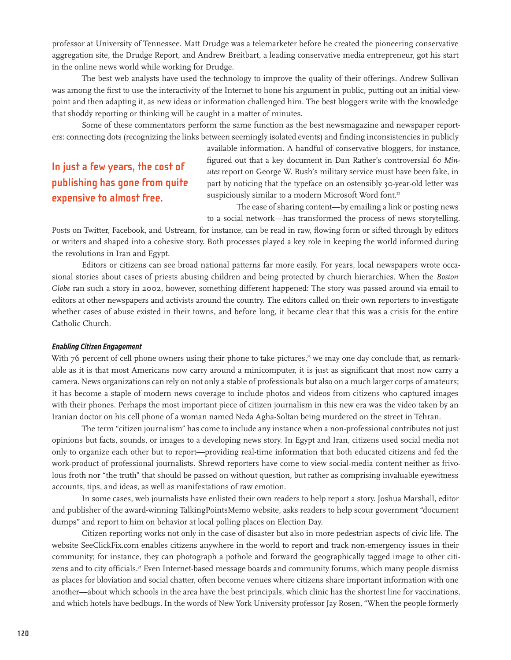professor at University of Tennessee. Matt Drudge was a telemarketer before he created the pioneering conservative aggregation site, the Drudge Report, and Andrew Breitbart, a leading conservative media entrepreneur, got his start in the online news world while working for Drudge.

The best web analysts have used the technology to improve the quality of their offerings. Andrew Sullivan was among the first to use the interactivity of the Internet to hone his argument in public, putting out an initial viewpoint and then adapting it, as new ideas or information challenged him. The best bloggers write with the knowledge that shoddy reporting or thinking will be caught in a matter of minutes.

Some of these commentators perform the same function as the best newsmagazine and newspaper reporters: connecting dots (recognizing the links between seemingly isolated events) and finding inconsistencies in publicly

# **In just a few years, the cost of publishing has gone from quite expensive to almost free.**

available information. A handful of conservative bloggers, for instance, figured out that a key document in Dan Rather's controversial *60 Minutes* report on George W. Bush's military service must have been fake, in part by noticing that the typeface on an ostensibly 30-year-old letter was suspiciously similar to a modern Microsoft Word font.<sup>22</sup>

The ease of sharing content—by emailing a link or posting news to a social network—has transformed the process of news storytelling.

Posts on Twitter, Facebook, and Ustream, for instance, can be read in raw, flowing form or sifted through by editors or writers and shaped into a cohesive story. Both processes played a key role in keeping the world informed during the revolutions in Iran and Egypt.

Editors or citizens can see broad national patterns far more easily. For years, local newspapers wrote occasional stories about cases of priests abusing children and being protected by church hierarchies. When the *Boston Globe* ran such a story in 2002, however, something different happened: The story was passed around via email to editors at other newspapers and activists around the country. The editors called on their own reporters to investigate whether cases of abuse existed in their towns, and before long, it became clear that this was a crisis for the entire Catholic Church.

#### *Enabling Citizen Engagement*

With  $76$  percent of cell phone owners using their phone to take pictures, $^3$  we may one day conclude that, as remarkable as it is that most Americans now carry around a minicomputer, it is just as significant that most now carry a camera. News organizations can rely on not only a stable of professionals but also on a much larger corps of amateurs; it has become a staple of modern news coverage to include photos and videos from citizens who captured images with their phones. Perhaps the most important piece of citizen journalism in this new era was the video taken by an Iranian doctor on his cell phone of a woman named Neda Agha-Soltan being murdered on the street in Tehran.

The term "citizen journalism" has come to include any instance when a non-professional contributes not just opinions but facts, sounds, or images to a developing news story. In Egypt and Iran, citizens used social media not only to organize each other but to report—providing real-time information that both educated citizens and fed the work-product of professional journalists. Shrewd reporters have come to view social-media content neither as frivolous froth nor "the truth" that should be passed on without question, but rather as comprising invaluable eyewitness accounts, tips, and ideas, as well as manifestations of raw emotion.

In some cases, web journalists have enlisted their own readers to help report a story. Joshua Marshall, editor and publisher of the award-winning TalkingPointsMemo website, asks readers to help scour government "document dumps" and report to him on behavior at local polling places on Election Day.

Citizen reporting works not only in the case of disaster but also in more pedestrian aspects of civic life. The website SeeClickFix.com enables citizens anywhere in the world to report and track non-emergency issues in their community; for instance, they can photograph a pothole and forward the geographically tagged image to other citizens and to city officials.<sup>24</sup> Even Internet-based message boards and community forums, which many people dismiss as places for bloviation and social chatter, often become venues where citizens share important information with one another—about which schools in the area have the best principals, which clinic has the shortest line for vaccinations, and which hotels have bedbugs. In the words of New York University professor Jay Rosen, "When the people formerly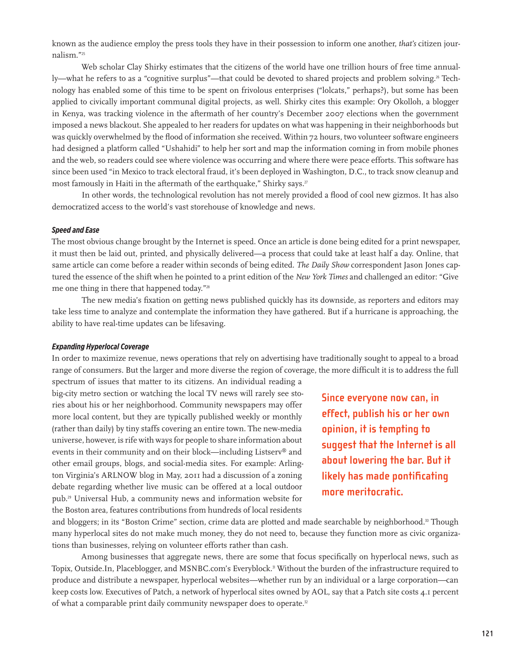known as the audience employ the press tools they have in their possession to inform one another, *that's* citizen journalism."<sup>25</sup>

Web scholar Clay Shirky estimates that the citizens of the world have one trillion hours of free time annually—what he refers to as a "cognitive surplus"—that could be devoted to shared projects and problem solving.<sup>26</sup> Technology has enabled some of this time to be spent on frivolous enterprises ("lolcats," perhaps?), but some has been applied to civically important communal digital projects, as well. Shirky cites this example: Ory Okolloh, a blogger in Kenya, was tracking violence in the aftermath of her country's December 2007 elections when the government imposed a news blackout. She appealed to her readers for updates on what was happening in their neighborhoods but was quickly overwhelmed by the flood of information she received. Within 72 hours, two volunteer software engineers had designed a platform called "Ushahidi" to help her sort and map the information coming in from mobile phones and the web, so readers could see where violence was occurring and where there were peace efforts. This software has since been used "in Mexico to track electoral fraud, it's been deployed in Washington, D.C., to track snow cleanup and most famously in Haiti in the aftermath of the earthquake," Shirky says.<sup>27</sup>

In other words, the technological revolution has not merely provided a flood of cool new gizmos. It has also democratized access to the world's vast storehouse of knowledge and news.

#### *Speed and Ease*

The most obvious change brought by the Internet is speed. Once an article is done being edited for a print newspaper, it must then be laid out, printed, and physically delivered—a process that could take at least half a day. Online, that same article can come before a reader within seconds of being edited. *The Daily Show* correspondent Jason Jones captured the essence of the shift when he pointed to a print edition of the *New York Times* and challenged an editor: "Give me one thing in there that happened today."<sup>28</sup>

The new media's fixation on getting news published quickly has its downside, as reporters and editors may take less time to analyze and contemplate the information they have gathered. But if a hurricane is approaching, the ability to have real-time updates can be lifesaving.

#### *Expanding Hyperlocal Coverage*

In order to maximize revenue, news operations that rely on advertising have traditionally sought to appeal to a broad range of consumers. But the larger and more diverse the region of coverage, the more difficult it is to address the full spectrum of issues that matter to its citizens. An individual reading a

big-city metro section or watching the local TV news will rarely see stories about his or her neighborhood. Community newspapers may offer more local content, but they are typically published weekly or monthly (rather than daily) by tiny staffs covering an entire town. The new-media universe, however, is rife with ways for people to share information about events in their community and on their block—including Listserv® and other email groups, blogs, and social-media sites. For example: Arlington Virginia's ARLNOW blog in May, 2011 had a discussion of a zoning debate regarding whether live music can be offered at a local outdoor pub.29 Universal Hub, a community news and information website for the Boston area, features contributions from hundreds of local residents

**Since everyone now can, in effect, publish his or her own opinion, it is tempting to suggest that the Internet is all about lowering the bar. But it likely has made pontificating more meritocratic.**

and bloggers; in its "Boston Crime" section, crime data are plotted and made searchable by neighborhood.<sup>30</sup> Though many hyperlocal sites do not make much money, they do not need to, because they function more as civic organizations than businesses, relying on volunteer efforts rather than cash.

Among businesses that aggregate news, there are some that focus specifically on hyperlocal news, such as Topix, Outside.In, Placeblogger, and MSNBC.com's Everyblock.<sup>31</sup> Without the burden of the infrastructure required to produce and distribute a newspaper, hyperlocal websites—whether run by an individual or a large corporation—can keep costs low. Executives of Patch, a network of hyperlocal sites owned by AOL, say that a Patch site costs 4.1 percent of what a comparable print daily community newspaper does to operate.<sup>32</sup>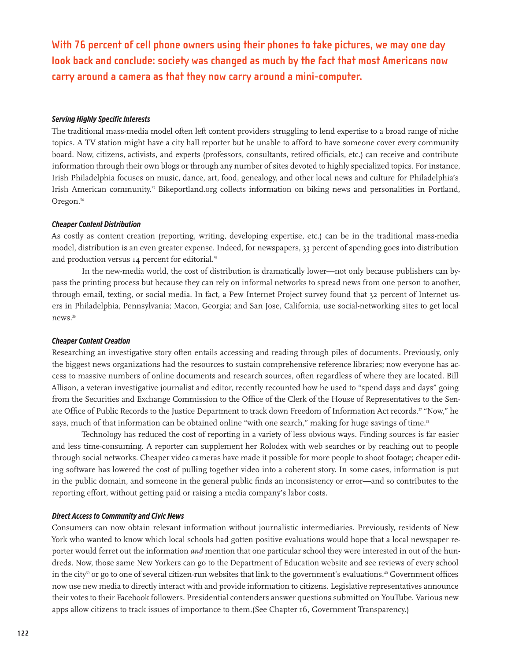**With 76 percent of cell phone owners using their phones to take pictures, we may one day look back and conclude: society was changed as much by the fact that most Americans now carry around a camera as that they now carry around a mini-computer.**

# *Serving Highly Specific Interests*

The traditional mass-media model often left content providers struggling to lend expertise to a broad range of niche topics. A TV station might have a city hall reporter but be unable to afford to have someone cover every community board. Now, citizens, activists, and experts (professors, consultants, retired officials, etc.) can receive and contribute information through their own blogs or through any number of sites devoted to highly specialized topics. For instance, Irish Philadelphia focuses on music, dance, art, food, genealogy, and other local news and culture for Philadelphia's Irish American community.<sup>33</sup> Bikeportland.org collects information on biking news and personalities in Portland, Oregon.<sup>34</sup>

#### *Cheaper Content Distribution*

As costly as content creation (reporting, writing, developing expertise, etc.) can be in the traditional mass-media model, distribution is an even greater expense. Indeed, for newspapers, 33 percent of spending goes into distribution and production versus 14 percent for editorial.<sup>35</sup>

In the new-media world, the cost of distribution is dramatically lower—not only because publishers can bypass the printing process but because they can rely on informal networks to spread news from one person to another, through email, texting, or social media. In fact, a Pew Internet Project survey found that 32 percent of Internet users in Philadelphia, Pennsylvania; Macon, Georgia; and San Jose, California, use social-networking sites to get local news.<sup>36</sup>

#### *Cheaper Content Creation*

Researching an investigative story often entails accessing and reading through piles of documents. Previously, only the biggest news organizations had the resources to sustain comprehensive reference libraries; now everyone has access to massive numbers of online documents and research sources, often regardless of where they are located. Bill Allison, a veteran investigative journalist and editor, recently recounted how he used to "spend days and days" going from the Securities and Exchange Commission to the Office of the Clerk of the House of Representatives to the Senate Office of Public Records to the Justice Department to track down Freedom of Information Act records.<sup>37</sup> "Now," he says, much of that information can be obtained online "with one search," making for huge savings of time.<sup>38</sup>

Technology has reduced the cost of reporting in a variety of less obvious ways. Finding sources is far easier and less time-consuming. A reporter can supplement her Rolodex with web searches or by reaching out to people through social networks. Cheaper video cameras have made it possible for more people to shoot footage; cheaper editing software has lowered the cost of pulling together video into a coherent story. In some cases, information is put in the public domain, and someone in the general public finds an inconsistency or error—and so contributes to the reporting effort, without getting paid or raising a media company's labor costs.

#### *Direct Access to Community and Civic News*

Consumers can now obtain relevant information without journalistic intermediaries. Previously, residents of New York who wanted to know which local schools had gotten positive evaluations would hope that a local newspaper reporter would ferret out the information *and* mention that one particular school they were interested in out of the hundreds. Now, those same New Yorkers can go to the Department of Education website and see reviews of every school in the city<sup>39</sup> or go to one of several citizen-run websites that link to the government's evaluations.<sup>40</sup> Government offices now use new media to directly interact with and provide information to citizens. Legislative representatives announce their votes to their Facebook followers. Presidential contenders answer questions submitted on YouTube. Various new apps allow citizens to track issues of importance to them.(See Chapter 16, Government Transparency.)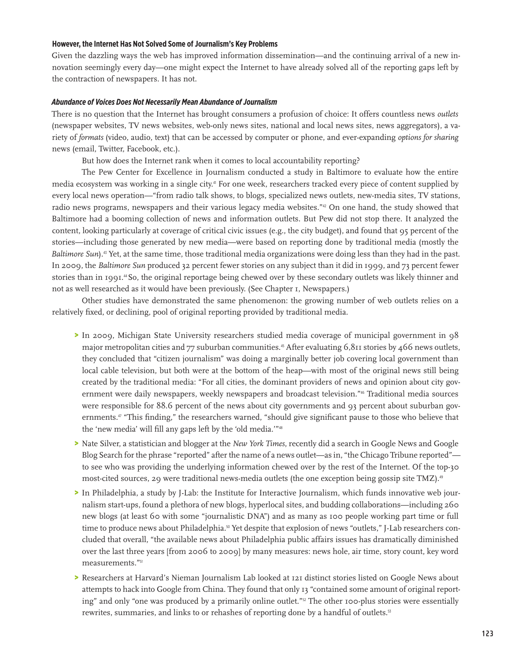#### **However, the Internet Has Not Solved Some of Journalism's Key Problems**

Given the dazzling ways the web has improved information dissemination—and the continuing arrival of a new innovation seemingly every day—one might expect the Internet to have already solved all of the reporting gaps left by the contraction of newspapers. It has not.

#### *Abundance of Voices Does Not Necessarily Mean Abundance of Journalism*

There is no question that the Internet has brought consumers a profusion of choice: It offers countless news *outlets*  (newspaper websites, TV news websites, web-only news sites, national and local news sites, news aggregators), a variety of *formats* (video, audio, text) that can be accessed by computer or phone, and ever-expanding *options for sharing* news (email, Twitter, Facebook, etc.).

But how does the Internet rank when it comes to local accountability reporting?

The Pew Center for Excellence in Journalism conducted a study in Baltimore to evaluate how the entire media ecosystem was working in a single city.41 For one week, researchers tracked every piece of content supplied by every local news operation—"from radio talk shows, to blogs, specialized news outlets, new-media sites, TV stations, radio news programs, newspapers and their various legacy media websites."<sup>42</sup> On one hand, the study showed that Baltimore had a booming collection of news and information outlets. But Pew did not stop there. It analyzed the content, looking particularly at coverage of critical civic issues (e.g., the city budget), and found that 95 percent of the stories—including those generated by new media—were based on reporting done by traditional media (mostly the *Baltimore Sun*).<sup>43</sup> Yet, at the same time, those traditional media organizations were doing less than they had in the past. In 2009, the *Baltimore Sun* produced 32 percent fewer stories on any subject than it did in 1999, and 73 percent fewer stories than in 1991.44 So, the original reportage being chewed over by these secondary outlets was likely thinner and not as well researched as it would have been previously. (See Chapter 1, Newspapers.)

Other studies have demonstrated the same phenomenon: the growing number of web outlets relies on a relatively fixed, or declining, pool of original reporting provided by traditional media.

- > In 2009, Michigan State University researchers studied media coverage of municipal government in 98 major metropolitan cities and 77 suburban communities.<sup>45</sup> After evaluating  $6,811$  stories by 466 news outlets, they concluded that "citizen journalism" was doing a marginally better job covering local government than local cable television, but both were at the bottom of the heap—with most of the original news still being created by the traditional media: "For all cities, the dominant providers of news and opinion about city government were daily newspapers, weekly newspapers and broadcast television."46 Traditional media sources were responsible for 88.6 percent of the news about city governments and 93 percent about suburban governments.<sup>47</sup> "This finding," the researchers warned, "should give significant pause to those who believe that the 'new media' will fill any gaps left by the 'old media.'"<sup>48</sup>
- > Nate Silver, a statistician and blogger at the *New York Times*, recently did a search in Google News and Google Blog Search for the phrase "reported" after the name of a news outlet—as in, "the Chicago Tribune reported" to see who was providing the underlying information chewed over by the rest of the Internet. Of the top-30 most-cited sources, 29 were traditional news-media outlets (the one exception being gossip site TMZ).<sup>49</sup>
- > In Philadelphia, a study by J-Lab: the Institute for Interactive Journalism, which funds innovative web journalism start-ups, found a plethora of new blogs, hyperlocal sites, and budding collaborations—including 260 new blogs (at least 60 with some "journalistic DNA") and as many as 100 people working part time or full time to produce news about Philadelphia.<sup>50</sup> Yet despite that explosion of news "outlets," J-Lab researchers concluded that overall, "the available news about Philadelphia public affairs issues has dramatically diminished over the last three years [from 2006 to 2009] by many measures: news hole, air time, story count, key word measurements."<sup>51</sup>
- > Researchers at Harvard's Nieman Journalism Lab looked at 121 distinct stories listed on Google News about attempts to hack into Google from China. They found that only 13 "contained some amount of original reporting" and only "one was produced by a primarily online outlet."<sup>22</sup> The other 100-plus stories were essentially rewrites, summaries, and links to or rehashes of reporting done by a handful of outlets.<sup>53</sup>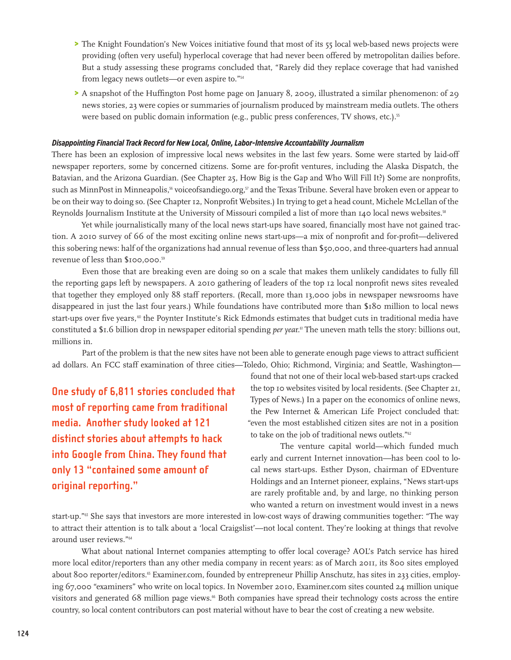- > The Knight Foundation's New Voices initiative found that most of its 55 local web-based news projects were providing (often very useful) hyperlocal coverage that had never been offered by metropolitan dailies before. But a study assessing these programs concluded that, "Rarely did they replace coverage that had vanished from legacy news outlets—or even aspire to."<sup>54</sup>
- > A snapshot of the Huffington Post home page on January 8, 2009, illustrated a similar phenomenon: of 29 news stories, 23 were copies or summaries of journalism produced by mainstream media outlets. The others were based on public domain information (e.g., public press conferences, TV shows, etc.).<sup>55</sup>

# *Disappointing Financial Track Record for New Local, Online, Labor-Intensive Accountability Journalism*

There has been an explosion of impressive local news websites in the last few years. Some were started by laid-off newspaper reporters, some by concerned citizens. Some are for-profit ventures, including the Alaska Dispatch, the Batavian, and the Arizona Guardian. (See Chapter 25, How Big is the Gap and Who Will Fill It?) Some are nonprofits, such as MinnPost in Minneapolis,<sup>56</sup> voiceofsandiego.org,<sup>57</sup> and the Texas Tribune. Several have broken even or appear to be on their way to doing so. (See Chapter 12, Nonprofit Websites.) In trying to get a head count, Michele McLellan of the Reynolds Journalism Institute at the University of Missouri compiled a list of more than 140 local news websites.<sup>58</sup>

Yet while journalistically many of the local news start-ups have soared, financially most have not gained traction. A 2010 survey of 66 of the most exciting online news start-ups—a mix of nonprofit and for-profit—delivered this sobering news: half of the organizations had annual revenue of less than \$50,000, and three-quarters had annual revenue of less than \$100,000.<sup>59</sup>

Even those that are breaking even are doing so on a scale that makes them unlikely candidates to fully fill the reporting gaps left by newspapers. A 2010 gathering of leaders of the top 12 local nonprofit news sites revealed that together they employed only 88 staff reporters. (Recall, more than 13,000 jobs in newspaper newsrooms have disappeared in just the last four years.) While foundations have contributed more than \$180 million to local news start-ups over five years,<sup>60</sup> the Poynter Institute's Rick Edmonds estimates that budget cuts in traditional media have constituted a \$1.6 billion drop in newspaper editorial spending *per yea*r.61 The uneven math tells the story: billions out, millions in.

Part of the problem is that the new sites have not been able to generate enough page views to attract sufficient ad dollars. An FCC staff examination of three cities—Toledo, Ohio; Richmond, Virginia; and Seattle, Washington—

**One study of 6,811 stories concluded that most of reporting came from traditional media. Another study looked at 121 distinct stories about attempts to hack into Google from China. They found that only 13 "contained some amount of original reporting."**

found that not one of their local web-based start-ups cracked the top 10 websites visited by local residents. (See Chapter 21, Types of News.) In a paper on the economics of online news, the Pew Internet & American Life Project concluded that: "even the most established citizen sites are not in a position to take on the job of traditional news outlets."<sup>62</sup>

The venture capital world—which funded much early and current Internet innovation—has been cool to local news start-ups. Esther Dyson, chairman of EDventure Holdings and an Internet pioneer, explains, "News start-ups are rarely profitable and, by and large, no thinking person who wanted a return on investment would invest in a news

start-up."63 She says that investors are more interested in low-cost ways of drawing communities together: "The way to attract their attention is to talk about a 'local Craigslist'—not local content. They're looking at things that revolve around user reviews."<sup>64</sup>

What about national Internet companies attempting to offer local coverage? AOL's Patch service has hired more local editor/reporters than any other media company in recent years: as of March 2011, its 800 sites employed about 800 reporter/editors.65 Examiner.com, founded by entrepreneur Phillip Anschutz, has sites in 233 cities, employing 67,000 "examiners" who write on local topics. In November 2010, Examiner.com sites counted 24 million unique visitors and generated 68 million page views.<sup>66</sup> Both companies have spread their technology costs across the entire country, so local content contributors can post material without have to bear the cost of creating a new website.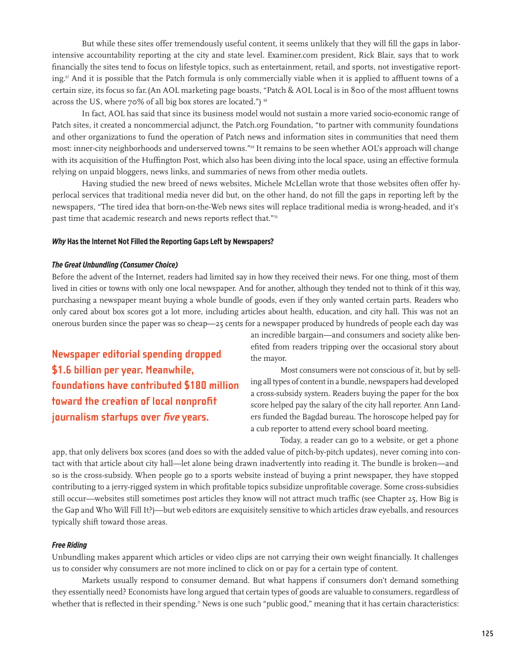But while these sites offer tremendously useful content, it seems unlikely that they will fill the gaps in laborintensive accountability reporting at the city and state level. Examiner.com president, Rick Blair, says that to work financially the sites tend to focus on lifestyle topics, such as entertainment, retail, and sports, not investigative reporting.<sup>67</sup> And it is possible that the Patch formula is only commercially viable when it is applied to affluent towns of a certain size, its focus so far.(An AOL marketing page boasts, "Patch & AOL Local is in 800 of the most affluent towns across the US, where 70% of all big box stores are located.") <sup>68</sup>

In fact, AOL has said that since its business model would not sustain a more varied socio-economic range of Patch sites, it created a noncommercial adjunct, the Patch.org Foundation, "to partner with community foundations and other organizations to fund the operation of Patch news and information sites in communities that need them most: inner-city neighborhoods and underserved towns."69 It remains to be seen whether AOL's approach will change with its acquisition of the Huffington Post, which also has been diving into the local space, using an effective formula relying on unpaid bloggers, news links, and summaries of news from other media outlets.

Having studied the new breed of news websites, Michele McLellan wrote that those websites often offer hyperlocal services that traditional media never did but, on the other hand, do not fill the gaps in reporting left by the newspapers, "The tired idea that born-on-the-Web news sites will replace traditional media is wrong-headed, and it's past time that academic research and news reports reflect that."<sup>70</sup>

#### *Why* **Has the Internet Not Filled the Reporting Gaps Left by Newspapers?**

#### *The Great Unbundling (Consumer Choice)*

Before the advent of the Internet, readers had limited say in how they received their news. For one thing, most of them lived in cities or towns with only one local newspaper. And for another, although they tended not to think of it this way, purchasing a newspaper meant buying a whole bundle of goods, even if they only wanted certain parts. Readers who only cared about box scores got a lot more, including articles about health, education, and city hall. This was not an onerous burden since the paper was so cheap—25 cents for a newspaper produced by hundreds of people each day was

**Newspaper editorial spending dropped \$1.6 billion per year. Meanwhile, foundations have contributed \$180 million toward the creation of local nonprofit journalism startups over five years.** 

an incredible bargain—and consumers and society alike benefited from readers tripping over the occasional story about the mayor.

Most consumers were not conscious of it, but by selling all types of content in a bundle, newspapers had developed a cross-subsidy system. Readers buying the paper for the box score helped pay the salary of the city hall reporter. Ann Landers funded the Bagdad bureau. The horoscope helped pay for a cub reporter to attend every school board meeting.

Today, a reader can go to a website, or get a phone

app, that only delivers box scores (and does so with the added value of pitch-by-pitch updates), never coming into contact with that article about city hall—let alone being drawn inadvertently into reading it. The bundle is broken—and so is the cross-subsidy. When people go to a sports website instead of buying a print newspaper, they have stopped contributing to a jerry-rigged system in which profitable topics subsidize unprofitable coverage. Some cross-subsidies still occur—websites still sometimes post articles they know will not attract much traffic (see Chapter 25, How Big is the Gap and Who Will Fill It?)—but web editors are exquisitely sensitive to which articles draw eyeballs, and resources typically shift toward those areas.

# *Free Riding*

Unbundling makes apparent which articles or video clips are not carrying their own weight financially. It challenges us to consider why consumers are not more inclined to click on or pay for a certain type of content.

Markets usually respond to consumer demand. But what happens if consumers don't demand something they essentially need? Economists have long argued that certain types of goods are valuable to consumers, regardless of whether that is reflected in their spending.<sup>7</sup> News is one such "public good," meaning that it has certain characteristics: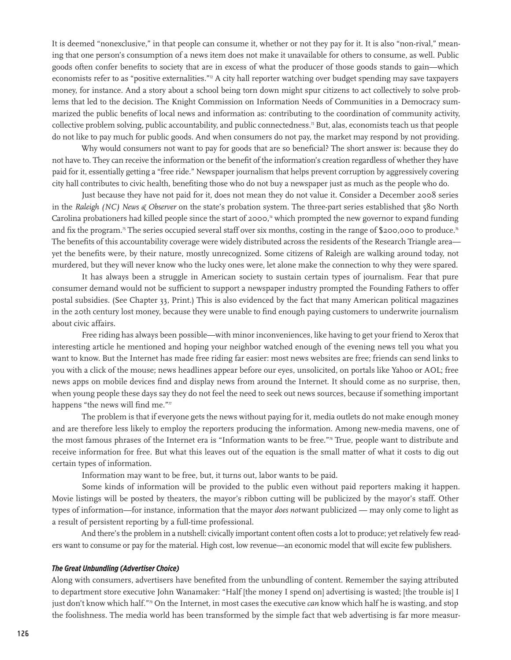It is deemed "nonexclusive," in that people can consume it, whether or not they pay for it. It is also "non-rival," meaning that one person's consumption of a news item does not make it unavailable for others to consume, as well. Public goods often confer benefits to society that are in excess of what the producer of those goods stands to gain—which economists refer to as "positive externalities."<sup>72</sup> A city hall reporter watching over budget spending may save taxpayers money, for instance. And a story about a school being torn down might spur citizens to act collectively to solve problems that led to the decision. The Knight Commission on Information Needs of Communities in a Democracy summarized the public benefits of local news and information as: contributing to the coordination of community activity, collective problem solving, public accountability, and public connectedness.<sup>73</sup> But, alas, economists teach us that people do not like to pay much for public goods. And when consumers do not pay, the market may respond by not providing.

Why would consumers not want to pay for goods that are so beneficial? The short answer is: because they do not have to. They can receive the information or the benefit of the information's creation regardless of whether they have paid for it, essentially getting a "free ride." Newspaper journalism that helps prevent corruption by aggressively covering city hall contributes to civic health, benefiting those who do not buy a newspaper just as much as the people who do.

Just because they have not paid for it, does not mean they do not value it. Consider a December 2008 series in the *Raleigh (NC) News & Observer* on the state's probation system. The three-part series established that 580 North Carolina probationers had killed people since the start of 2000,<sup> $n$ </sup> which prompted the new governor to expand funding and fix the program.<sup>75</sup> The series occupied several staff over six months, costing in the range of \$200,000 to produce.<sup>76</sup> The benefits of this accountability coverage were widely distributed across the residents of the Research Triangle area yet the benefits were, by their nature, mostly unrecognized. Some citizens of Raleigh are walking around today, not murdered, but they will never know who the lucky ones were, let alone make the connection to why they were spared.

It has always been a struggle in American society to sustain certain types of journalism. Fear that pure consumer demand would not be sufficient to support a newspaper industry prompted the Founding Fathers to offer postal subsidies. (See Chapter 33, Print.) This is also evidenced by the fact that many American political magazines in the 20th century lost money, because they were unable to find enough paying customers to underwrite journalism about civic affairs.

Free riding has always been possible—with minor inconveniences, like having to get your friend to Xerox that interesting article he mentioned and hoping your neighbor watched enough of the evening news tell you what you want to know. But the Internet has made free riding far easier: most news websites are free; friends can send links to you with a click of the mouse; news headlines appear before our eyes, unsolicited, on portals like Yahoo or AOL; free news apps on mobile devices find and display news from around the Internet. It should come as no surprise, then, when young people these days say they do not feel the need to seek out news sources, because if something important happens "the news will find me."77

The problem is that if everyone gets the news without paying for it, media outlets do not make enough money and are therefore less likely to employ the reporters producing the information. Among new-media mavens, one of the most famous phrases of the Internet era is "Information wants to be free."78 True, people want to distribute and receive information for free. But what this leaves out of the equation is the small matter of what it costs to dig out certain types of information.

Information may want to be free, but, it turns out, labor wants to be paid.

Some kinds of information will be provided to the public even without paid reporters making it happen. Movie listings will be posted by theaters, the mayor's ribbon cutting will be publicized by the mayor's staff. Other types of information—for instance, information that the mayor *does not*want publicized — may only come to light as a result of persistent reporting by a full-time professional.

And there's the problem in a nutshell: civically important content often costs a lot to produce; yet relatively few readers want to consume or pay for the material. High cost, low revenue—an economic model that will excite few publishers.

#### *The Great Unbundling (Advertiser Choice)*

Along with consumers, advertisers have benefited from the unbundling of content. Remember the saying attributed to department store executive John Wanamaker: "Half [the money I spend on] advertising is wasted; [the trouble is] I just don't know which half."79 On the Internet, in most cases the executive *can* know which half he is wasting, and stop the foolishness. The media world has been transformed by the simple fact that web advertising is far more measur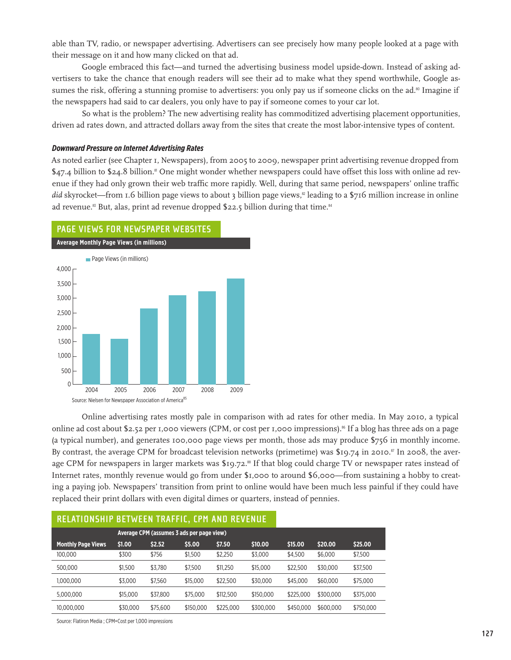able than TV, radio, or newspaper advertising. Advertisers can see precisely how many people looked at a page with their message on it and how many clicked on that ad.

Google embraced this fact—and turned the advertising business model upside-down. Instead of asking advertisers to take the chance that enough readers will see their ad to make what they spend worthwhile, Google assumes the risk, offering a stunning promise to advertisers: you only pay us if someone clicks on the ad.<sup>80</sup> Imagine if the newspapers had said to car dealers, you only have to pay if someone comes to your car lot.

So what is the problem? The new advertising reality has commoditized advertising placement opportunities, driven ad rates down, and attracted dollars away from the sites that create the most labor-intensive types of content.

# *Downward Pressure on Internet Advertising Rates*

As noted earlier (see Chapter 1, Newspapers), from 2005 to 2009, newspaper print advertising revenue dropped from  $$47.4$  billion to  $$24.8$  billion.<sup>8</sup> One might wonder whether newspapers could have offset this loss with online ad revenue if they had only grown their web traffic more rapidly. Well, during that same period, newspapers' online traffic *did* skyrocket—from 1.6 billion page views to about 3 billion page views,<sup>2</sup> leading to a \$716 million increase in online ad revenue.<sup>83</sup> But, alas, print ad revenue dropped \$22.5 billion during that time.<sup>84</sup>



Online advertising rates mostly pale in comparison with ad rates for other media. In May 2010, a typical online ad cost about \$2.52 per 1,000 viewers (CPM, or cost per 1,000 impressions).<sup>86</sup> If a blog has three ads on a page (a typical number), and generates 100,000 page views per month, those ads may produce \$756 in monthly income. By contrast, the average CPM for broadcast television networks (primetime) was  $$19.74$  in 2010.<sup>87</sup> In 2008, the average CPM for newspapers in larger markets was \$19.72.<sup>88</sup> If that blog could charge TV or newspaper rates instead of Internet rates, monthly revenue would go from under \$1,000 to around \$6,000—from sustaining a hobby to creating a paying job. Newspapers' transition from print to online would have been much less painful if they could have replaced their print dollars with even digital dimes or quarters, instead of pennies.

| RELATIONSHIP BETWEEN TRAFFIC, CPM AND REVENUE |                                           |          |           |           |           |           |           |           |  |
|-----------------------------------------------|-------------------------------------------|----------|-----------|-----------|-----------|-----------|-----------|-----------|--|
|                                               | Average CPM (assumes 3 ads per page view) |          |           |           |           |           |           |           |  |
| <b>Monthly Page Views</b>                     | \$1.00                                    | \$2.52   | \$5.00    | \$7.50    | \$10,00   | \$15.00   | \$20.00   | \$25.00   |  |
| 100,000                                       | \$300                                     | \$756    | \$1,500   | \$2,250   | \$3,000   | \$4,500   | \$6,000   | \$7,500   |  |
| 500.000                                       | \$1,500                                   | \$3,780  | \$7,500   | \$11,250  | \$15,000  | \$22,500  | \$30,000  | \$37,500  |  |
| 1.000.000                                     | \$3,000                                   | \$7,560  | \$15,000  | \$22,500  | \$30,000  | \$45,000  | \$60,000  | \$75,000  |  |
| 5.000.000                                     | \$15,000                                  | \$37,800 | \$75,000  | \$112,500 | \$150,000 | \$225,000 | \$300,000 | \$375,000 |  |
| 10.000.000                                    | \$30,000                                  | \$75,600 | \$150,000 | \$225,000 | \$300,000 | \$450,000 | \$600,000 | \$750,000 |  |

Source: Flatiron Media ; CPM=Cost per 1,000 impressions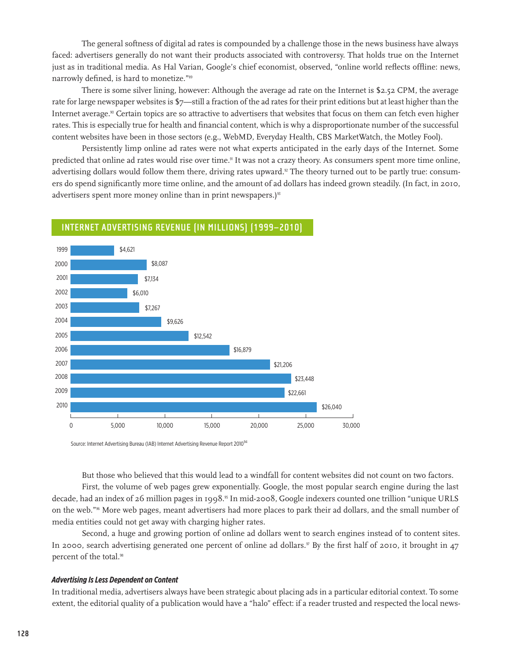The general softness of digital ad rates is compounded by a challenge those in the news business have always faced: advertisers generally do not want their products associated with controversy. That holds true on the Internet just as in traditional media. As Hal Varian, Google's chief economist, observed, "online world reflects offline: news, narrowly defined, is hard to monetize."<sup>89</sup>

There is some silver lining, however: Although the average ad rate on the Internet is \$2.52 CPM, the average rate for large newspaper websites is \$7—still a fraction of the ad rates for their print editions but at least higher than the Internet average.<sup>90</sup> Certain topics are so attractive to advertisers that websites that focus on them can fetch even higher rates. This is especially true for health and financial content, which is why a disproportionate number of the successful content websites have been in those sectors (e.g., WebMD, Everyday Health, CBS MarketWatch, the Motley Fool).

Persistently limp online ad rates were not what experts anticipated in the early days of the Internet. Some predicted that online ad rates would rise over time.<sup>91</sup> It was not a crazy theory. As consumers spent more time online, advertising dollars would follow them there, driving rates upward.<sup>2</sup> The theory turned out to be partly true: consumers do spend significantly more time online, and the amount of ad dollars has indeed grown steadily. (In fact, in 2010, advertisers spent more money online than in print newspapers.)<sup>93</sup>



# **Internet Advertising Revenue (in millions) (1999–2010)**

Source: Internet Advertising Bureau (IAB) Internet Advertising Revenue Report 2010<sup>94</sup>

But those who believed that this would lead to a windfall for content websites did not count on two factors. First, the volume of web pages grew exponentially. Google, the most popular search engine during the last decade, had an index of 26 million pages in 1998.<sup>95</sup> In mid-2008, Google indexers counted one trillion "unique URLS on the web."96 More web pages, meant advertisers had more places to park their ad dollars, and the small number of media entities could not get away with charging higher rates.

Second, a huge and growing portion of online ad dollars went to search engines instead of to content sites. In 2000, search advertising generated one percent of online ad dollars.<sup>97</sup> By the first half of 2010, it brought in 47 percent of the total.<sup>98</sup>

# *Advertising Is Less Dependent on Content*

In traditional media, advertisers always have been strategic about placing ads in a particular editorial context. To some extent, the editorial quality of a publication would have a "halo" effect: if a reader trusted and respected the local news-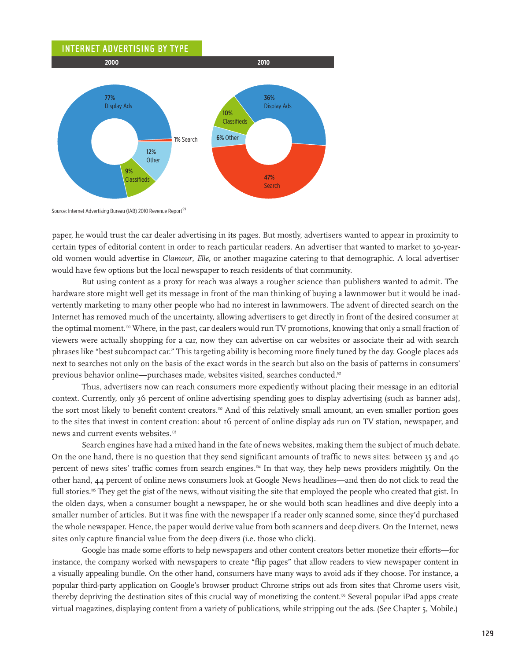

Source: Internet Advertising Bureau (IAB) 2010 Revenue Report<sup>99</sup>

paper, he would trust the car dealer advertising in its pages. But mostly, advertisers wanted to appear in proximity to certain types of editorial content in order to reach particular readers. An advertiser that wanted to market to 30-yearold women would advertise in *Glamour*, *Elle*, or another magazine catering to that demographic. A local advertiser would have few options but the local newspaper to reach residents of that community.

But using content as a proxy for reach was always a rougher science than publishers wanted to admit. The hardware store might well get its message in front of the man thinking of buying a lawnmower but it would be inadvertently marketing to many other people who had no interest in lawnmowers. The advent of directed search on the Internet has removed much of the uncertainty, allowing advertisers to get directly in front of the desired consumer at the optimal moment.<sup>100</sup> Where, in the past, car dealers would run TV promotions, knowing that only a small fraction of viewers were actually shopping for a car, now they can advertise on car websites or associate their ad with search phrases like "best subcompact car." This targeting ability is becoming more finely tuned by the day. Google places ads next to searches not only on the basis of the exact words in the search but also on the basis of patterns in consumers' previous behavior online—purchases made, websites visited, searches conducted.<sup>101</sup>

Thus, advertisers now can reach consumers more expediently without placing their message in an editorial context. Currently, only 36 percent of online advertising spending goes to display advertising (such as banner ads), the sort most likely to benefit content creators.<sup>102</sup> And of this relatively small amount, an even smaller portion goes to the sites that invest in content creation: about 16 percent of online display ads run on TV station, newspaper, and news and current events websites.<sup>103</sup>

Search engines have had a mixed hand in the fate of news websites, making them the subject of much debate. On the one hand, there is no question that they send significant amounts of traffic to news sites: between 35 and 40 percent of news sites' traffic comes from search engines.104 In that way, they help news providers mightily. On the other hand, 44 percent of online news consumers look at Google News headlines—and then do not click to read the full stories.<sup>105</sup> They get the gist of the news, without visiting the site that employed the people who created that gist. In the olden days, when a consumer bought a newspaper, he or she would both scan headlines and dive deeply into a smaller number of articles. But it was fine with the newspaper if a reader only scanned some, since they'd purchased the whole newspaper. Hence, the paper would derive value from both scanners and deep divers. On the Internet, news sites only capture financial value from the deep divers (i.e. those who click).

Google has made some efforts to help newspapers and other content creators better monetize their efforts—for instance, the company worked with newspapers to create "flip pages" that allow readers to view newspaper content in a visually appealing bundle. On the other hand, consumers have many ways to avoid ads if they choose. For instance, a popular third-party application on Google's browser product Chrome strips out ads from sites that Chrome users visit, thereby depriving the destination sites of this crucial way of monetizing the content.106 Several popular iPad apps create virtual magazines, displaying content from a variety of publications, while stripping out the ads. (See Chapter 5, Mobile.)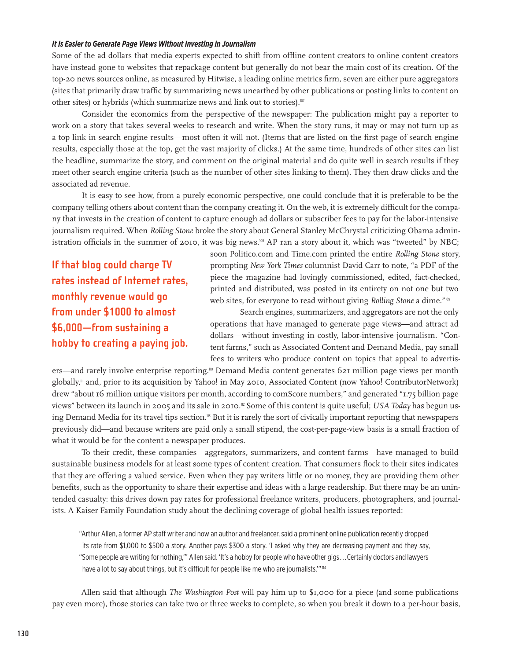#### *It Is Easier to Generate Page Views Without Investing in Journalism*

Some of the ad dollars that media experts expected to shift from offline content creators to online content creators have instead gone to websites that repackage content but generally do not bear the main cost of its creation. Of the top-20 news sources online, as measured by Hitwise, a leading online metrics firm, seven are either pure aggregators (sites that primarily draw traffic by summarizing news unearthed by other publications or posting links to content on other sites) or hybrids (which summarize news and link out to stories).<sup>107</sup>

Consider the economics from the perspective of the newspaper: The publication might pay a reporter to work on a story that takes several weeks to research and write. When the story runs, it may or may not turn up as a top link in search engine results—most often it will not. (Items that are listed on the first page of search engine results, especially those at the top, get the vast majority of clicks.) At the same time, hundreds of other sites can list the headline, summarize the story, and comment on the original material and do quite well in search results if they meet other search engine criteria (such as the number of other sites linking to them). They then draw clicks and the associated ad revenue.

It is easy to see how, from a purely economic perspective, one could conclude that it is preferable to be the company telling others about content than the company creating it. On the web, it is extremely difficult for the company that invests in the creation of content to capture enough ad dollars or subscriber fees to pay for the labor-intensive journalism required. When *Rolling Stone* broke the story about General Stanley McChrystal criticizing Obama administration officials in the summer of 2010, it was big news.108 AP ran a story about it, which was "tweeted" by NBC;

**If that blog could charge TV rates instead of Internet rates, monthly revenue would go from under \$1000 to almost \$6,000—from sustaining a hobby to creating a paying job.** soon Politico.com and Time.com printed the entire *Rolling Stone* story, prompting *New York Times* columnist David Carr to note, "a PDF of the piece the magazine had lovingly commissioned, edited, fact-checked, printed and distributed, was posted in its entirety on not one but two web sites, for everyone to read without giving *Rolling Stone* a dime."<sup>109</sup>

Search engines, summarizers, and aggregators are not the only operations that have managed to generate page views—and attract ad dollars—without investing in costly, labor-intensive journalism. "Content farms," such as Associated Content and Demand Media, pay small fees to writers who produce content on topics that appeal to advertis-

ers—and rarely involve enterprise reporting.<sup>10</sup> Demand Media content generates 621 million page views per month globally,111 and, prior to its acquisition by Yahoo! in May 2010, Associated Content (now Yahoo! ContributorNetwork) drew "about 16 million unique visitors per month, according to comScore numbers," and generated "1.75 billion page views" between its launch in 2005 and its sale in 2010.<sup>112</sup> Some of this content is quite useful; *USA Today* has begun using Demand Media for its travel tips section.<sup>13</sup> But it is rarely the sort of civically important reporting that newspapers previously did—and because writers are paid only a small stipend, the cost-per-page-view basis is a small fraction of what it would be for the content a newspaper produces.

To their credit, these companies—aggregators, summarizers, and content farms—have managed to build sustainable business models for at least some types of content creation. That consumers flock to their sites indicates that they are offering a valued service. Even when they pay writers little or no money, they are providing them other benefits, such as the opportunity to share their expertise and ideas with a large readership. But there may be an unintended casualty: this drives down pay rates for professional freelance writers, producers, photographers, and journalists. A Kaiser Family Foundation study about the declining coverage of global health issues reported:

"Arthur Allen, a former AP staff writer and now an author and freelancer, said a prominent online publication recently dropped its rate from \$1,000 to \$500 a story. Another pays \$300 a story. 'I asked why they are decreasing payment and they say, "Some people are writing for nothing,"' Allen said. 'It's a hobby for people who have other gigs . . .Certainly doctors and lawyers have a lot to say about things, but it's difficult for people like me who are journalists."" 14

Allen said that although *The Washington Post* will pay him up to \$1,000 for a piece (and some publications pay even more), those stories can take two or three weeks to complete, so when you break it down to a per-hour basis,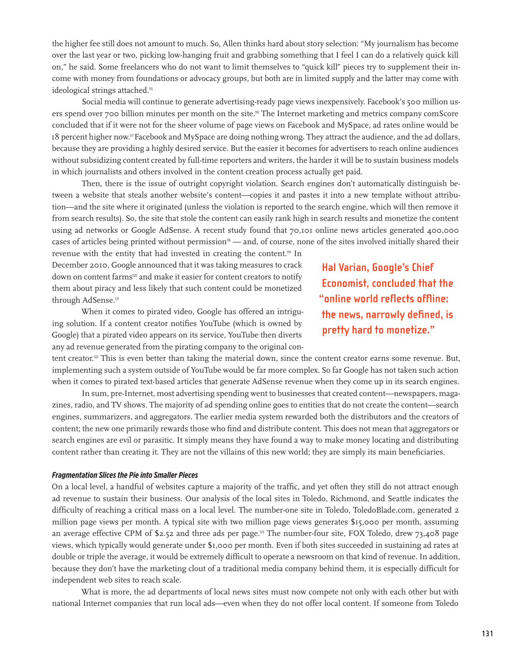the higher fee still does not amount to much. So, Allen thinks hard about story selection: "My journalism has become over the last year or two, picking low-hanging fruit and grabbing something that I feel I can do a relatively quick kill on," he said. Some freelancers who do not want to limit themselves to "quick kill" pieces try to supplement their income with money from foundations or advocacy groups, but both are in limited supply and the latter may come with ideological strings attached.<sup>115</sup>

Social media will continue to generate advertising-ready page views inexpensively. Facebook's 500 million users spend over 700 billion minutes per month on the site.<sup>116</sup> The Internet marketing and metrics company comScore concluded that if it were not for the sheer volume of page views on Facebook and MySpace, ad rates online would be 18 percent higher now.117 Facebook and MySpace are doing nothing wrong. They attract the audience, and the ad dollars, because they are providing a highly desired service. But the easier it becomes for advertisers to reach online audiences without subsidizing content created by full-time reporters and writers, the harder it will be to sustain business models in which journalists and others involved in the content creation process actually get paid.

Then, there is the issue of outright copyright violation. Search engines don't automatically distinguish between a website that steals another website's content—copies it and pastes it into a new template without attribution—and the site where it originated (unless the violation is reported to the search engine, which will then remove it from search results). So, the site that stole the content can easily rank high in search results and monetize the content using ad networks or Google AdSense. A recent study found that 70,101 online news articles generated 400,000 cases of articles being printed without permission<sup>18</sup> — and, of course, none of the sites involved initially shared their

revenue with the entity that had invested in creating the content.119 In December 2010, Google announced that it was taking measures to crack down on content farms<sup>120</sup> and make it easier for content creators to notify them about piracy and less likely that such content could be monetized through AdSense.<sup>121</sup>

**Hal Varian, Google's Chief Economist, concluded that the "online world reflects offline: the news, narrowly defined, is pretty hard to monetize."**

When it comes to pirated video, Google has offered an intriguing solution. If a content creator notifies YouTube (which is owned by Google) that a pirated video appears on its service, YouTube then diverts any ad revenue generated from the pirating company to the original con-

tent creator.<sup>12</sup> This is even better than taking the material down, since the content creator earns some revenue. But, implementing such a system outside of YouTube would be far more complex. So far Google has not taken such action when it comes to pirated text-based articles that generate AdSense revenue when they come up in its search engines.

In sum, pre-Internet, most advertising spending went to businesses that created content—newspapers, magazines, radio, and TV shows. The majority of ad spending online goes to entities that do not create the content—search engines, summarizers, and aggregators. The earlier media system rewarded both the distributors and the creators of content; the new one primarily rewards those who find and distribute content. This does not mean that aggregators or search engines are evil or parasitic. It simply means they have found a way to make money locating and distributing content rather than creating it. They are not the villains of this new world; they are simply its main beneficiaries.

#### *Fragmentation Slices the Pie into Smaller Pieces*

On a local level, a handful of websites capture a majority of the traffic, and yet often they still do not attract enough ad revenue to sustain their business. Our analysis of the local sites in Toledo, Richmond, and Seattle indicates the difficulty of reaching a critical mass on a local level. The number-one site in Toledo, ToledoBlade.com, generated 2 million page views per month. A typical site with two million page views generates \$15,000 per month, assuming an average effective CPM of  $$2.52$  and three ads per page.<sup>123</sup> The number-four site, FOX Toledo, drew 73,408 page views, which typically would generate under \$1,000 per month. Even if both sites succeeded in sustaining ad rates at double or triple the average, it would be extremely difficult to operate a newsroom on that kind of revenue. In addition, because they don't have the marketing clout of a traditional media company behind them, it is especially difficult for independent web sites to reach scale.

What is more, the ad departments of local news sites must now compete not only with each other but with national Internet companies that run local ads—even when they do not offer local content. If someone from Toledo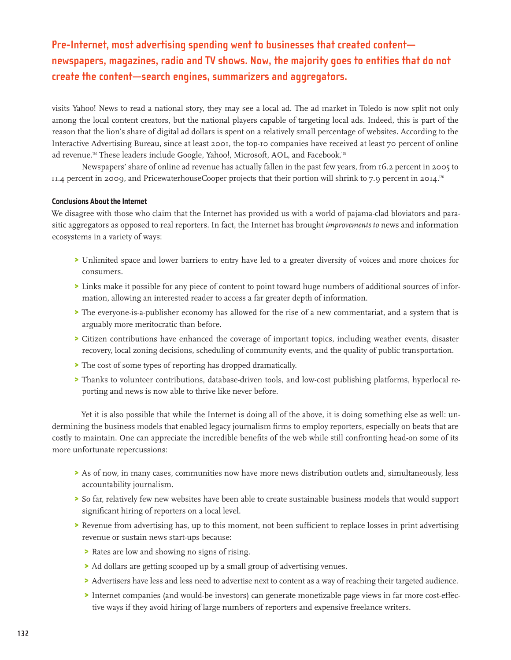**Pre-Internet, most advertising spending went to businesses that created content newspapers, magazines, radio and TV shows. Now, the majority goes to entities that do not create the content—search engines, summarizers and aggregators.**

visits Yahoo! News to read a national story, they may see a local ad. The ad market in Toledo is now split not only among the local content creators, but the national players capable of targeting local ads. Indeed, this is part of the reason that the lion's share of digital ad dollars is spent on a relatively small percentage of websites. According to the Interactive Advertising Bureau, since at least 2001, the top-10 companies have received at least 70 percent of online ad revenue.<sup>124</sup> These leaders include Google, Yahoo!, Microsoft, AOL, and Facebook.<sup>125</sup>

Newspapers' share of online ad revenue has actually fallen in the past few years, from 16.2 percent in 2005 to 11.4 percent in 2009, and PricewaterhouseCooper projects that their portion will shrink to 7.9 percent in 2014.<sup>126</sup>

# **Conclusions About the Internet**

We disagree with those who claim that the Internet has provided us with a world of pajama-clad bloviators and parasitic aggregators as opposed to real reporters. In fact, the Internet has brought *improvements to* news and information ecosystems in a variety of ways:

- > Unlimited space and lower barriers to entry have led to a greater diversity of voices and more choices for consumers.
- > Links make it possible for any piece of content to point toward huge numbers of additional sources of information, allowing an interested reader to access a far greater depth of information.
- > The everyone-is-a-publisher economy has allowed for the rise of a new commentariat, and a system that is arguably more meritocratic than before.
- > Citizen contributions have enhanced the coverage of important topics, including weather events, disaster recovery, local zoning decisions, scheduling of community events, and the quality of public transportation.
- > The cost of some types of reporting has dropped dramatically.
- > Thanks to volunteer contributions, database-driven tools, and low-cost publishing platforms, hyperlocal reporting and news is now able to thrive like never before.

Yet it is also possible that while the Internet is doing all of the above, it is doing something else as well: undermining the business models that enabled legacy journalism firms to employ reporters, especially on beats that are costly to maintain. One can appreciate the incredible benefits of the web while still confronting head-on some of its more unfortunate repercussions:

- > As of now, in many cases, communities now have more news distribution outlets and, simultaneously, less accountability journalism.
- > So far, relatively few new websites have been able to create sustainable business models that would support significant hiring of reporters on a local level.
- > Revenue from advertising has, up to this moment, not been sufficient to replace losses in print advertising revenue or sustain news start-ups because:
	- > Rates are low and showing no signs of rising.
	- > Ad dollars are getting scooped up by a small group of advertising venues.
	- > Advertisers have less and less need to advertise next to content as a way of reaching their targeted audience.
	- > Internet companies (and would-be investors) can generate monetizable page views in far more cost-effective ways if they avoid hiring of large numbers of reporters and expensive freelance writers.